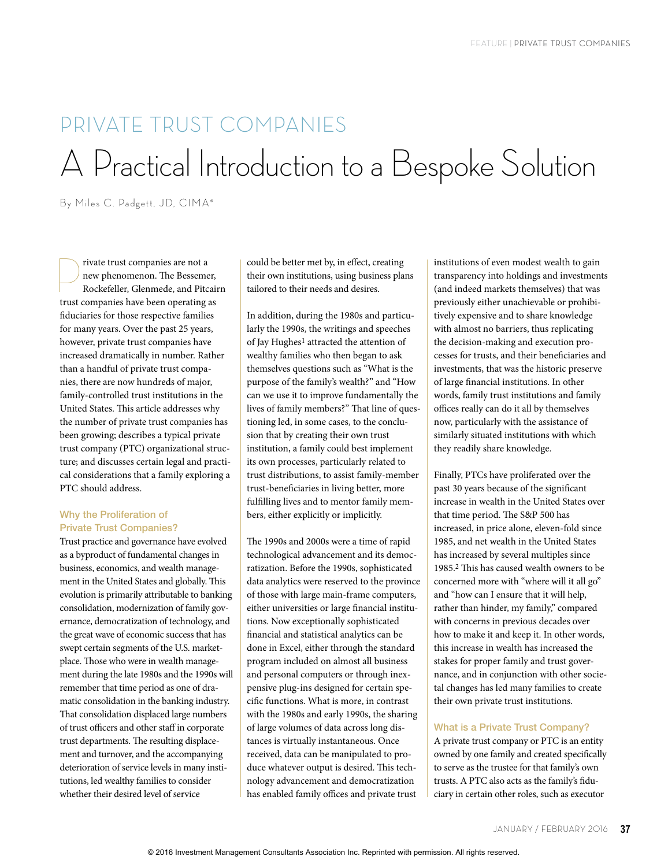# PRIVATE TRUST COMPANIES A Practical Introduction to a Bespoke Solution

By Miles C. Padgett, JD, CIMA®

Fivate trust companies are not a<br>new phenomenon. The Bessement<br>Rockefeller, Glenmede, and Pitc new phenomenon. The Bessemer, Rockefeller, Glenmede, and Pitcairn trust companies have been operating as fiduciaries for those respective families for many years. Over the past 25 years, however, private trust companies have increased dramatically in number. Rather than a handful of private trust companies, there are now hundreds of major, family-controlled trust institutions in the United States. This article addresses why the number of private trust companies has been growing; describes a typical private trust company (PTC) organizational structure; and discusses certain legal and practical considerations that a family exploring a PTC should address.

# Why the Proliferation of Private Trust Companies?

Trust practice and governance have evolved as a byproduct of fundamental changes in business, economics, and wealth management in the United States and globally. This evolution is primarily attributable to banking consolidation, modernization of family governance, democratization of technology, and the great wave of economic success that has swept certain segments of the U.S. marketplace. Those who were in wealth management during the late 1980s and the 1990s will remember that time period as one of dramatic consolidation in the banking industry. That consolidation displaced large numbers of trust officers and other staff in corporate trust departments. The resulting displacement and turnover, and the accompanying deterioration of service levels in many institutions, led wealthy families to consider whether their desired level of service

could be better met by, in effect, creating their own institutions, using business plans tailored to their needs and desires.

In addition, during the 1980s and particularly the 1990s, the writings and speeches of Jay Hughes<sup>1</sup> attracted the attention of wealthy families who then began to ask themselves questions such as "What is the purpose of the family's wealth?" and "How can we use it to improve fundamentally the lives of family members?" That line of questioning led, in some cases, to the conclusion that by creating their own trust institution, a family could best implement its own processes, particularly related to trust distributions, to assist family-member trust-beneficiaries in living better, more fulfilling lives and to mentor family members, either explicitly or implicitly.

The 1990s and 2000s were a time of rapid technological advancement and its democratization. Before the 1990s, sophisticated data analytics were reserved to the province of those with large main-frame computers, either universities or large financial institutions. Now exceptionally sophisticated financial and statistical analytics can be done in Excel, either through the standard program included on almost all business and personal computers or through inexpensive plug-ins designed for certain specific functions. What is more, in contrast with the 1980s and early 1990s, the sharing of large volumes of data across long distances is virtually instantaneous. Once received, data can be manipulated to produce whatever output is desired. This technology advancement and democratization has enabled family offices and private trust

institutions of even modest wealth to gain transparency into holdings and investments (and indeed markets themselves) that was previously either unachievable or prohibitively expensive and to share knowledge with almost no barriers, thus replicating the decision-making and execution processes for trusts, and their beneficiaries and investments, that was the historic preserve of large financial institutions. In other words, family trust institutions and family offices really can do it all by themselves now, particularly with the assistance of similarly situated institutions with which they readily share knowledge.

Finally, PTCs have proliferated over the past 30 years because of the significant increase in wealth in the United States over that time period. The S&P 500 has increased, in price alone, eleven-fold since 1985, and net wealth in the United States has increased by several multiples since 1985.2 This has caused wealth owners to be concerned more with "where will it all go" and "how can I ensure that it will help, rather than hinder, my family," compared with concerns in previous decades over how to make it and keep it. In other words, this increase in wealth has increased the stakes for proper family and trust governance, and in conjunction with other societal changes has led many families to create their own private trust institutions.

### What is a Private Trust Company?

A private trust company or PTC is an entity owned by one family and created specifically to serve as the trustee for that family's own trusts. A PTC also acts as the family's fiduciary in certain other roles, such as executor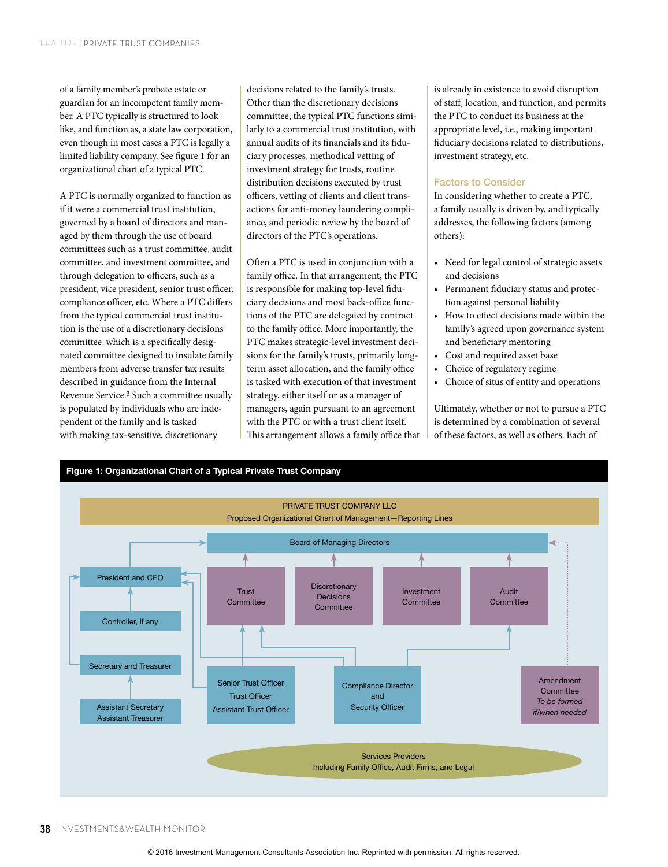of a family member's probate estate or guardian for an incompetent family member. A PTC typically is structured to look like, and function as, a state law corporation, even though in most cases a PTC is legally a limited liability company. See figure 1 for an organizational chart of a typical PTC.

A PTC is normally organized to function as if it were a commercial trust institution, governed by a board of directors and managed by them through the use of board committees such as a trust committee, audit committee, and investment committee, and through delegation to officers, such as a president, vice president, senior trust officer, compliance officer, etc. Where a PTC differs from the typical commercial trust institution is the use of a discretionary decisions committee, which is a specifically designated committee designed to insulate family members from adverse transfer tax results described in guidance from the Internal Revenue Service.3 Such a committee usually is populated by individuals who are independent of the family and is tasked with making tax-sensitive, discretionary

decisions related to the family's trusts. Other than the discretionary decisions committee, the typical PTC functions similarly to a commercial trust institution, with annual audits of its financials and its fiduciary processes, methodical vetting of investment strategy for trusts, routine distribution decisions executed by trust officers, vetting of clients and client transactions for anti-money laundering compliance, and periodic review by the board of directors of the PTC's operations.

Often a PTC is used in conjunction with a family office. In that arrangement, the PTC is responsible for making top-level fiduciary decisions and most back-office functions of the PTC are delegated by contract to the family office. More importantly, the PTC makes strategic-level investment decisions for the family's trusts, primarily longterm asset allocation, and the family office is tasked with execution of that investment strategy, either itself or as a manager of managers, again pursuant to an agreement with the PTC or with a trust client itself. This arrangement allows a family office that is already in existence to avoid disruption of staff, location, and function, and permits the PTC to conduct its business at the appropriate level, i.e., making important fiduciary decisions related to distributions, investment strategy, etc.

#### Factors to Consider

In considering whether to create a PTC, a family usually is driven by, and typically addresses, the following factors (among others):

- Need for legal control of strategic assets and decisions
- Permanent fiduciary status and protection against personal liability
- How to effect decisions made within the family's agreed upon governance system and beneficiary mentoring
- Cost and required asset base
- Choice of regulatory regime
- Choice of situs of entity and operations

Ultimately, whether or not to pursue a PTC is determined by a combination of several of these factors, as well as others. Each of

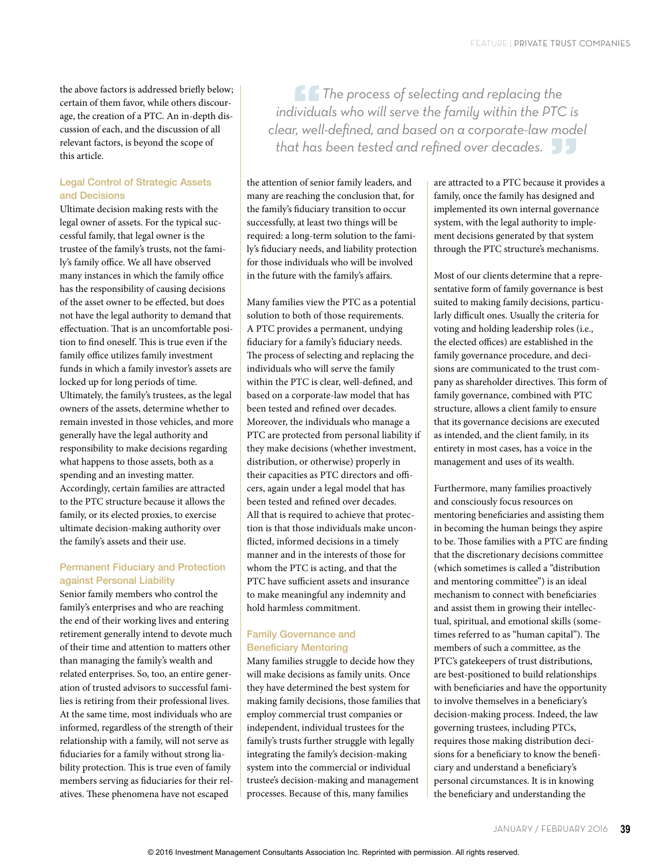the above factors is addressed briefly below; certain of them favor, while others discourage, the creation of a PTC. An in-depth discussion of each, and the discussion of all relevant factors, is beyond the scope of this article.

## Legal Control of Strategic Assets and Decisions

Ultimate decision making rests with the legal owner of assets. For the typical successful family, that legal owner is the trustee of the family's trusts, not the family's family office. We all have observed many instances in which the family office has the responsibility of causing decisions of the asset owner to be effected, but does not have the legal authority to demand that effectuation. That is an uncomfortable position to find oneself. This is true even if the family office utilizes family investment funds in which a family investor's assets are locked up for long periods of time. Ultimately, the family's trustees, as the legal owners of the assets, determine whether to remain invested in those vehicles, and more generally have the legal authority and responsibility to make decisions regarding what happens to those assets, both as a spending and an investing matter. Accordingly, certain families are attracted to the PTC structure because it allows the family, or its elected proxies, to exercise ultimate decision-making authority over the family's assets and their use.

# Permanent Fiduciary and Protection against Personal Liability

Senior family members who control the family's enterprises and who are reaching the end of their working lives and entering retirement generally intend to devote much of their time and attention to matters other than managing the family's wealth and related enterprises. So, too, an entire generation of trusted advisors to successful families is retiring from their professional lives. At the same time, most individuals who are informed, regardless of the strength of their relationship with a family, will not serve as fiduciaries for a family without strong liability protection. This is true even of family members serving as fiduciaries for their relatives. These phenomena have not escaped

**"***The process of selecting and replacing the individuals who will serve the family within the PTC is clear, well-defined, and based on a corporate-law model that has been tested and refined over decades.* **"**

the attention of senior family leaders, and many are reaching the conclusion that, for the family's fiduciary transition to occur successfully, at least two things will be required: a long-term solution to the family's fiduciary needs, and liability protection for those individuals who will be involved in the future with the family's affairs.

Many families view the PTC as a potential solution to both of those requirements. A PTC provides a permanent, undying fiduciary for a family's fiduciary needs. The process of selecting and replacing the individuals who will serve the family within the PTC is clear, well-defined, and based on a corporate-law model that has been tested and refined over decades. Moreover, the individuals who manage a PTC are protected from personal liability if they make decisions (whether investment, distribution, or otherwise) properly in their capacities as PTC directors and officers, again under a legal model that has been tested and refined over decades. All that is required to achieve that protection is that those individuals make unconflicted, informed decisions in a timely manner and in the interests of those for whom the PTC is acting, and that the PTC have sufficient assets and insurance to make meaningful any indemnity and hold harmless commitment.

# Family Governance and Beneficiary Mentoring

Many families struggle to decide how they will make decisions as family units. Once they have determined the best system for making family decisions, those families that employ commercial trust companies or independent, individual trustees for the family's trusts further struggle with legally integrating the family's decision-making system into the commercial or individual trustee's decision-making and management processes. Because of this, many families

are attracted to a PTC because it provides a family, once the family has designed and implemented its own internal governance system, with the legal authority to implement decisions generated by that system through the PTC structure's mechanisms.

Most of our clients determine that a representative form of family governance is best suited to making family decisions, particularly difficult ones. Usually the criteria for voting and holding leadership roles (i.e., the elected offices) are established in the family governance procedure, and decisions are communicated to the trust company as shareholder directives. This form of family governance, combined with PTC structure, allows a client family to ensure that its governance decisions are executed as intended, and the client family, in its entirety in most cases, has a voice in the management and uses of its wealth.

Furthermore, many families proactively and consciously focus resources on mentoring beneficiaries and assisting them in becoming the human beings they aspire to be. Those families with a PTC are finding that the discretionary decisions committee (which sometimes is called a "distribution and mentoring committee") is an ideal mechanism to connect with beneficiaries and assist them in growing their intellectual, spiritual, and emotional skills (sometimes referred to as "human capital"). The members of such a committee, as the PTC's gatekeepers of trust distributions, are best-positioned to build relationships with beneficiaries and have the opportunity to involve themselves in a beneficiary's decision-making process. Indeed, the law governing trustees, including PTCs, requires those making distribution decisions for a beneficiary to know the beneficiary and understand a beneficiary's personal circumstances. It is in knowing the beneficiary and understanding the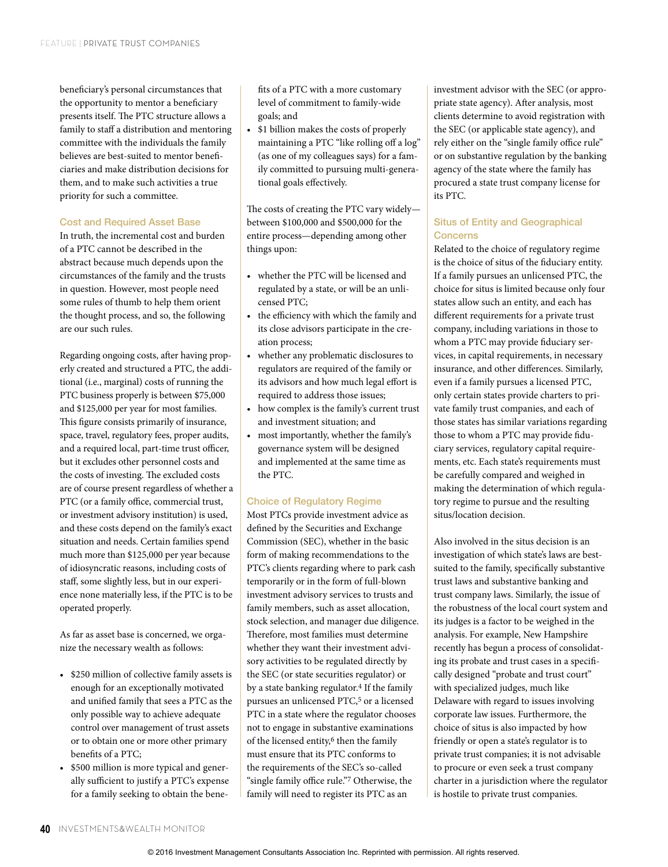beneficiary's personal circumstances that the opportunity to mentor a beneficiary presents itself. The PTC structure allows a family to staff a distribution and mentoring committee with the individuals the family believes are best-suited to mentor beneficiaries and make distribution decisions for them, and to make such activities a true priority for such a committee.

#### Cost and Required Asset Base

In truth, the incremental cost and burden of a PTC cannot be described in the abstract because much depends upon the circumstances of the family and the trusts in question. However, most people need some rules of thumb to help them orient the thought process, and so, the following are our such rules.

Regarding ongoing costs, after having properly created and structured a PTC, the additional (i.e., marginal) costs of running the PTC business properly is between \$75,000 and \$125,000 per year for most families. This figure consists primarily of insurance, space, travel, regulatory fees, proper audits, and a required local, part-time trust officer, but it excludes other personnel costs and the costs of investing. The excluded costs are of course present regardless of whether a PTC (or a family office, commercial trust, or investment advisory institution) is used, and these costs depend on the family's exact situation and needs. Certain families spend much more than \$125,000 per year because of idiosyncratic reasons, including costs of staff, some slightly less, but in our experience none materially less, if the PTC is to be operated properly.

As far as asset base is concerned, we organize the necessary wealth as follows:

- \$250 million of collective family assets is enough for an exceptionally motivated and unified family that sees a PTC as the only possible way to achieve adequate control over management of trust assets or to obtain one or more other primary benefits of a PTC;
- \$500 million is more typical and generally sufficient to justify a PTC's expense for a family seeking to obtain the bene-

fits of a PTC with a more customary level of commitment to family-wide goals; and

• \$1 billion makes the costs of properly maintaining a PTC "like rolling off a log" (as one of my colleagues says) for a family committed to pursuing multi-generational goals effectively.

The costs of creating the PTC vary widely between \$100,000 and \$500,000 for the entire process—depending among other things upon:

- whether the PTC will be licensed and regulated by a state, or will be an unlicensed PTC;
- the efficiency with which the family and its close advisors participate in the creation process;
- whether any problematic disclosures to regulators are required of the family or its advisors and how much legal effort is required to address those issues;
- how complex is the family's current trust and investment situation; and
- most importantly, whether the family's governance system will be designed and implemented at the same time as the PTC.

#### Choice of Regulatory Regime

Most PTCs provide investment advice as defined by the Securities and Exchange Commission (SEC), whether in the basic form of making recommendations to the PTC's clients regarding where to park cash temporarily or in the form of full-blown investment advisory services to trusts and family members, such as asset allocation, stock selection, and manager due diligence. Therefore, most families must determine whether they want their investment advisory activities to be regulated directly by the SEC (or state securities regulator) or by a state banking regulator.<sup>4</sup> If the family pursues an unlicensed PTC,<sup>5</sup> or a licensed PTC in a state where the regulator chooses not to engage in substantive examinations of the licensed entity,<sup>6</sup> then the family must ensure that its PTC conforms to the requirements of the SEC's so-called "single family office rule."7 Otherwise, the family will need to register its PTC as an

investment advisor with the SEC (or appropriate state agency). After analysis, most clients determine to avoid registration with the SEC (or applicable state agency), and rely either on the "single family office rule" or on substantive regulation by the banking agency of the state where the family has procured a state trust company license for its PTC.

# Situs of Entity and Geographical Concerns

Related to the choice of regulatory regime is the choice of situs of the fiduciary entity. If a family pursues an unlicensed PTC, the choice for situs is limited because only four states allow such an entity, and each has different requirements for a private trust company, including variations in those to whom a PTC may provide fiduciary services, in capital requirements, in necessary insurance, and other differences. Similarly, even if a family pursues a licensed PTC, only certain states provide charters to private family trust companies, and each of those states has similar variations regarding those to whom a PTC may provide fiduciary services, regulatory capital requirements, etc. Each state's requirements must be carefully compared and weighed in making the determination of which regulatory regime to pursue and the resulting situs/location decision.

Also involved in the situs decision is an investigation of which state's laws are bestsuited to the family, specifically substantive trust laws and substantive banking and trust company laws. Similarly, the issue of the robustness of the local court system and its judges is a factor to be weighed in the analysis. For example, New Hampshire recently has begun a process of consolidating its probate and trust cases in a specifically designed "probate and trust court" with specialized judges, much like Delaware with regard to issues involving corporate law issues. Furthermore, the choice of situs is also impacted by how friendly or open a state's regulator is to private trust companies; it is not advisable to procure or even seek a trust company charter in a jurisdiction where the regulator is hostile to private trust companies.